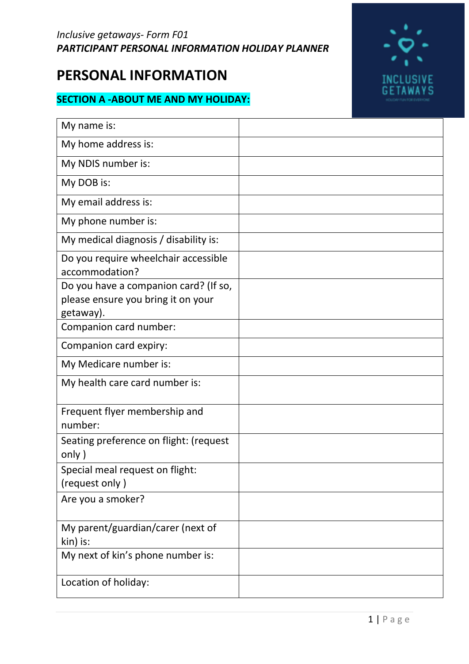# **PERSONAL INFORMATION**

# **SECTION A -ABOUT ME AND MY HOLIDAY:**



| My name is:                                                                              |
|------------------------------------------------------------------------------------------|
| My home address is:                                                                      |
| My NDIS number is:                                                                       |
| My DOB is:                                                                               |
| My email address is:                                                                     |
| My phone number is:                                                                      |
| My medical diagnosis / disability is:                                                    |
| Do you require wheelchair accessible<br>accommodation?                                   |
| Do you have a companion card? (If so,<br>please ensure you bring it on your<br>getaway). |
| Companion card number:                                                                   |
| Companion card expiry:                                                                   |
| My Medicare number is:                                                                   |
| My health care card number is:                                                           |
| Frequent flyer membership and<br>number:                                                 |
| Seating preference on flight: (request<br>only)                                          |
| Special meal request on flight:<br>(request only)                                        |
| Are you a smoker?                                                                        |
| My parent/guardian/carer (next of<br>kin) is:                                            |
| My next of kin's phone number is:                                                        |
| Location of holiday:                                                                     |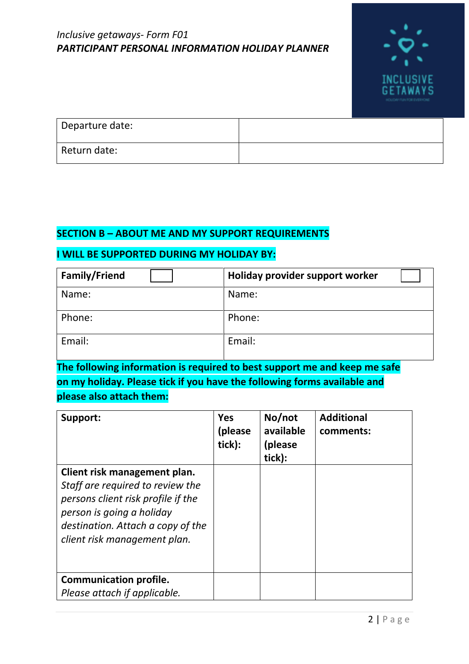

| Departure date: |  |
|-----------------|--|
| Return date:    |  |

#### **SECTION B – ABOUT ME AND MY SUPPORT REQUIREMENTS**

#### **I WILL BE SUPPORTED DURING MY HOLIDAY BY:**

| Family/Friend | Holiday provider support worker |
|---------------|---------------------------------|
| Name:         | Name:                           |
| Phone:        | Phone:                          |
| Email:        | Email:                          |

**The following information is required to best support me and keep me safe on my holiday. Please tick if you have the following forms available and please also attach them:**

| Support:                                                                                                                                                                                                 | <b>Yes</b><br>(please)<br>tick): | No/not<br>available<br>(please)<br>tick): | <b>Additional</b><br>comments: |
|----------------------------------------------------------------------------------------------------------------------------------------------------------------------------------------------------------|----------------------------------|-------------------------------------------|--------------------------------|
| Client risk management plan.<br>Staff are required to review the<br>persons client risk profile if the<br>person is going a holiday<br>destination. Attach a copy of the<br>client risk management plan. |                                  |                                           |                                |
| <b>Communication profile.</b><br>Please attach if applicable.                                                                                                                                            |                                  |                                           |                                |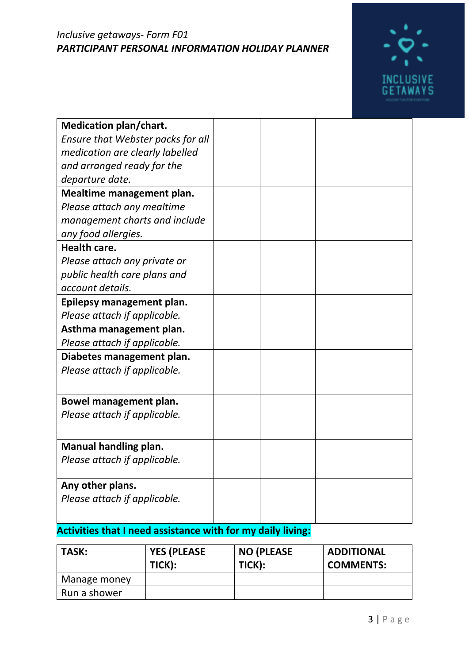

| <b>Medication plan/chart.</b>     |  |  |
|-----------------------------------|--|--|
| Ensure that Webster packs for all |  |  |
| medication are clearly labelled   |  |  |
| and arranged ready for the        |  |  |
| departure date.                   |  |  |
| Mealtime management plan.         |  |  |
| Please attach any mealtime        |  |  |
| management charts and include     |  |  |
| any food allergies.               |  |  |
| Health care.                      |  |  |
| Please attach any private or      |  |  |
| public health care plans and      |  |  |
| account details.                  |  |  |
| Epilepsy management plan.         |  |  |
| Please attach if applicable.      |  |  |
| Asthma management plan.           |  |  |
| Please attach if applicable.      |  |  |
| Diabetes management plan.         |  |  |
| Please attach if applicable.      |  |  |
|                                   |  |  |
| Bowel management plan.            |  |  |
| Please attach if applicable.      |  |  |
|                                   |  |  |
| <b>Manual handling plan.</b>      |  |  |
| Please attach if applicable.      |  |  |
|                                   |  |  |
| Any other plans.                  |  |  |
| Please attach if applicable.      |  |  |
|                                   |  |  |

# **Activities that I need assistance with for my daily living:**

| TASK:        | <b>YES (PLEASE</b><br>TICK): | <b>NO (PLEASE</b><br>TICK): | <b>ADDITIONAL</b><br><b>COMMENTS:</b> |
|--------------|------------------------------|-----------------------------|---------------------------------------|
| Manage money |                              |                             |                                       |
| Run a shower |                              |                             |                                       |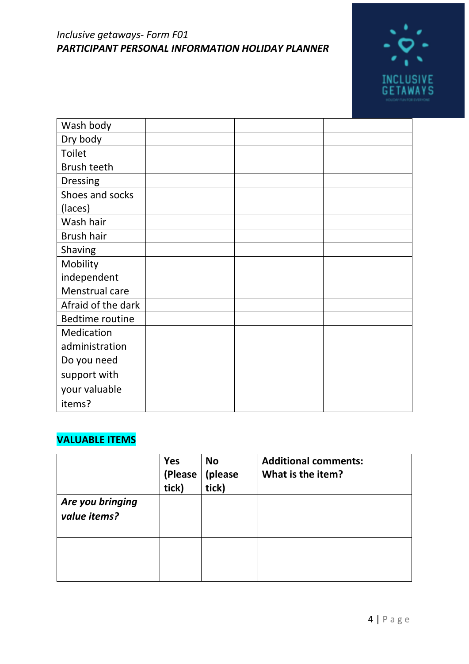

| Wash body              |  |  |
|------------------------|--|--|
| Dry body               |  |  |
| <b>Toilet</b>          |  |  |
| Brush teeth            |  |  |
| <b>Dressing</b>        |  |  |
| Shoes and socks        |  |  |
| (laces)                |  |  |
| Wash hair              |  |  |
| Brush hair             |  |  |
| Shaving                |  |  |
| Mobility               |  |  |
| independent            |  |  |
| Menstrual care         |  |  |
| Afraid of the dark     |  |  |
| <b>Bedtime routine</b> |  |  |
| Medication             |  |  |
| administration         |  |  |
| Do you need            |  |  |
| support with           |  |  |
| your valuable          |  |  |
| items?                 |  |  |

# **VALUABLE ITEMS**

|                                  | <b>Yes</b><br>(Please<br>tick) | <b>No</b><br>(please<br>tick) | <b>Additional comments:</b><br>What is the item? |
|----------------------------------|--------------------------------|-------------------------------|--------------------------------------------------|
| Are you bringing<br>value items? |                                |                               |                                                  |
|                                  |                                |                               |                                                  |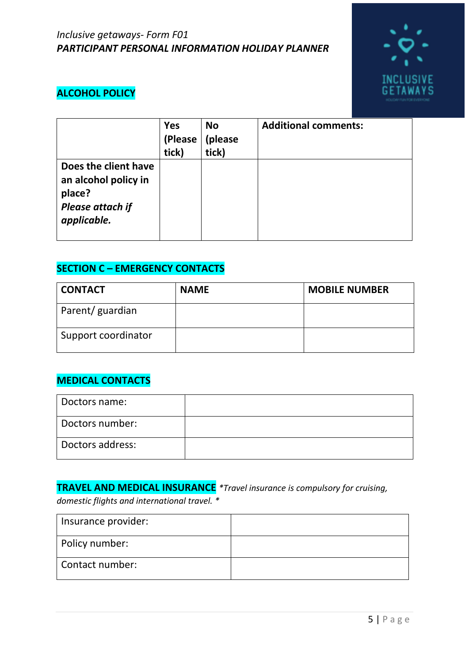

# **ALCOHOL POLICY**

|                                                                                                  | <b>Yes</b><br>(Please<br>tick) | <b>No</b><br>(please<br>tick) | <b>Additional comments:</b> |
|--------------------------------------------------------------------------------------------------|--------------------------------|-------------------------------|-----------------------------|
| Does the client have<br>an alcohol policy in<br>place?<br><b>Please attach if</b><br>applicable. |                                |                               |                             |

# **SECTION C – EMERGENCY CONTACTS**

| <b>CONTACT</b>      | <b>NAME</b> | <b>MOBILE NUMBER</b> |
|---------------------|-------------|----------------------|
| Parent/ guardian    |             |                      |
| Support coordinator |             |                      |

## **MEDICAL CONTACTS**

| Doctors name:    |  |
|------------------|--|
| Doctors number:  |  |
| Doctors address: |  |

# **TRAVEL AND MEDICAL INSURANCE** *\*Travel insurance is compulsory for cruising,*

*domestic flights and international travel. \**

| Insurance provider: |  |
|---------------------|--|
| Policy number:      |  |
| Contact number:     |  |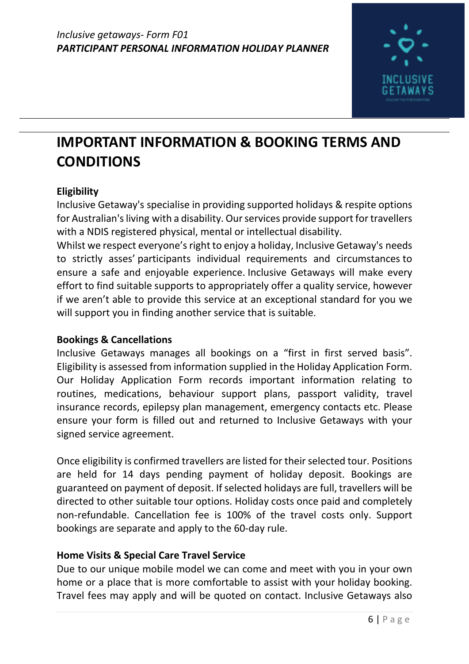

# **IMPORTANT INFORMATION & BOOKING TERMS AND CONDITIONS**

## **Eligibility**

Inclusive Getaway's specialise in providing supported holidays & respite options for Australian's living with a disability. Our services provide support for travellers with a NDIS registered physical, mental or intellectual disability.

Whilst we respect everyone's right to enjoy a holiday, Inclusive Getaway's needs to strictly asses' participants individual requirements and circumstances to ensure a safe and enjoyable experience. Inclusive Getaways will make every effort to find suitable supports to appropriately offer a quality service, however if we aren't able to provide this service at an exceptional standard for you we will support you in finding another service that is suitable.

### **Bookings & Cancellations**

Inclusive Getaways manages all bookings on a "first in first served basis". Eligibility is assessed from information supplied in the Holiday Application Form. Our Holiday Application Form records important information relating to routines, medications, behaviour support plans, passport validity, travel insurance records, epilepsy plan management, emergency contacts etc. Please ensure your form is filled out and returned to Inclusive Getaways with your signed service agreement.

Once eligibility is confirmed travellers are listed for their selected tour. Positions are held for 14 days pending payment of holiday deposit. Bookings are guaranteed on payment of deposit. If selected holidays are full, travellers will be directed to other suitable tour options. Holiday costs once paid and completely non-refundable. Cancellation fee is 100% of the travel costs only. Support bookings are separate and apply to the 60-day rule.

### **Home Visits & Special Care Travel Service**

Due to our unique mobile model we can come and meet with you in your own home or a place that is more comfortable to assist with your holiday booking. Travel fees may apply and will be quoted on contact. Inclusive Getaways also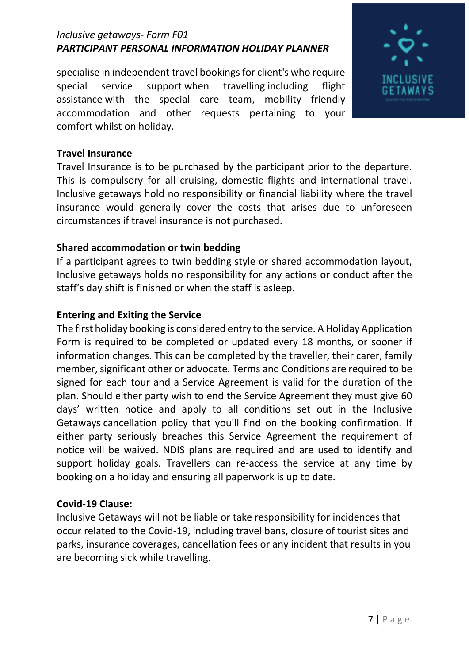specialise in independent travel bookings for client's who require special service support when travelling including flight assistance with the special care team, mobility friendly accommodation and other requests pertaining to your comfort whilst on holiday.



#### **Travel Insurance**

Travel Insurance is to be purchased by the participant prior to the departure. This is compulsory for all cruising, domestic flights and international travel. Inclusive getaways hold no responsibility or financial liability where the travel insurance would generally cover the costs that arises due to unforeseen circumstances if travel insurance is not purchased.

### **Shared accommodation or twin bedding**

If a participant agrees to twin bedding style or shared accommodation layout, Inclusive getaways holds no responsibility for any actions or conduct after the staff's day shift is finished or when the staff is asleep.

#### **Entering and Exiting the Service**

The first holiday booking is considered entry to the service. A Holiday Application Form is required to be completed or updated every 18 months, or sooner if information changes. This can be completed by the traveller, their carer, family member, significant other or advocate. Terms and Conditions are required to be signed for each tour and a Service Agreement is valid for the duration of the plan. Should either party wish to end the Service Agreement they must give 60 days' written notice and apply to all conditions set out in the Inclusive Getaways cancellation policy that you'll find on the booking confirmation. If either party seriously breaches this Service Agreement the requirement of notice will be waived. NDIS plans are required and are used to identify and support holiday goals. Travellers can re-access the service at any time by booking on a holiday and ensuring all paperwork is up to date.

### **Covid-19 Clause:**

Inclusive Getaways will not be liable or take responsibility for incidences that occur related to the Covid-19, including travel bans, closure of tourist sites and parks, insurance coverages, cancellation fees or any incident that results in you are becoming sick while travelling.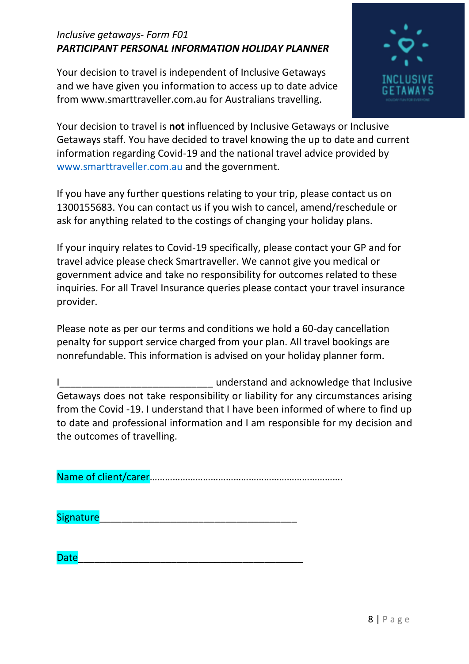Your decision to travel is independent of Inclusive Getaways and we have given you information to access up to date advice from www.smarttraveller.com.au for Australians travelling.



Your decision to travel is **not** influenced by Inclusive Getaways or Inclusive Getaways staff. You have decided to travel knowing the up to date and current information regarding Covid-19 and the national travel advice provided by [www.smarttraveller.com.au](http://www.smarttraveller.com.au/) and the government.

If you have any further questions relating to your trip, please contact us on 1300155683. You can contact us if you wish to cancel, amend/reschedule or ask for anything related to the costings of changing your holiday plans.

If your inquiry relates to Covid-19 specifically, please contact your GP and for travel advice please check Smartraveller. We cannot give you medical or government advice and take no responsibility for outcomes related to these inquiries. For all Travel Insurance queries please contact your travel insurance provider.

Please note as per our terms and conditions we hold a 60-day cancellation penalty for support service charged from your plan. All travel bookings are nonrefundable. This information is advised on your holiday planner form.

I Getaways does not take responsibility or liability for any circumstances arising from the Covid -19. I understand that I have been informed of where to find up to date and professional information and I am responsible for my decision and the outcomes of travelling.

Name of client/carer………………………………………………………………….

Signature

Date\_\_\_\_\_\_\_\_\_\_\_\_\_\_\_\_\_\_\_\_\_\_\_\_\_\_\_\_\_\_\_\_\_\_\_\_\_\_\_\_\_